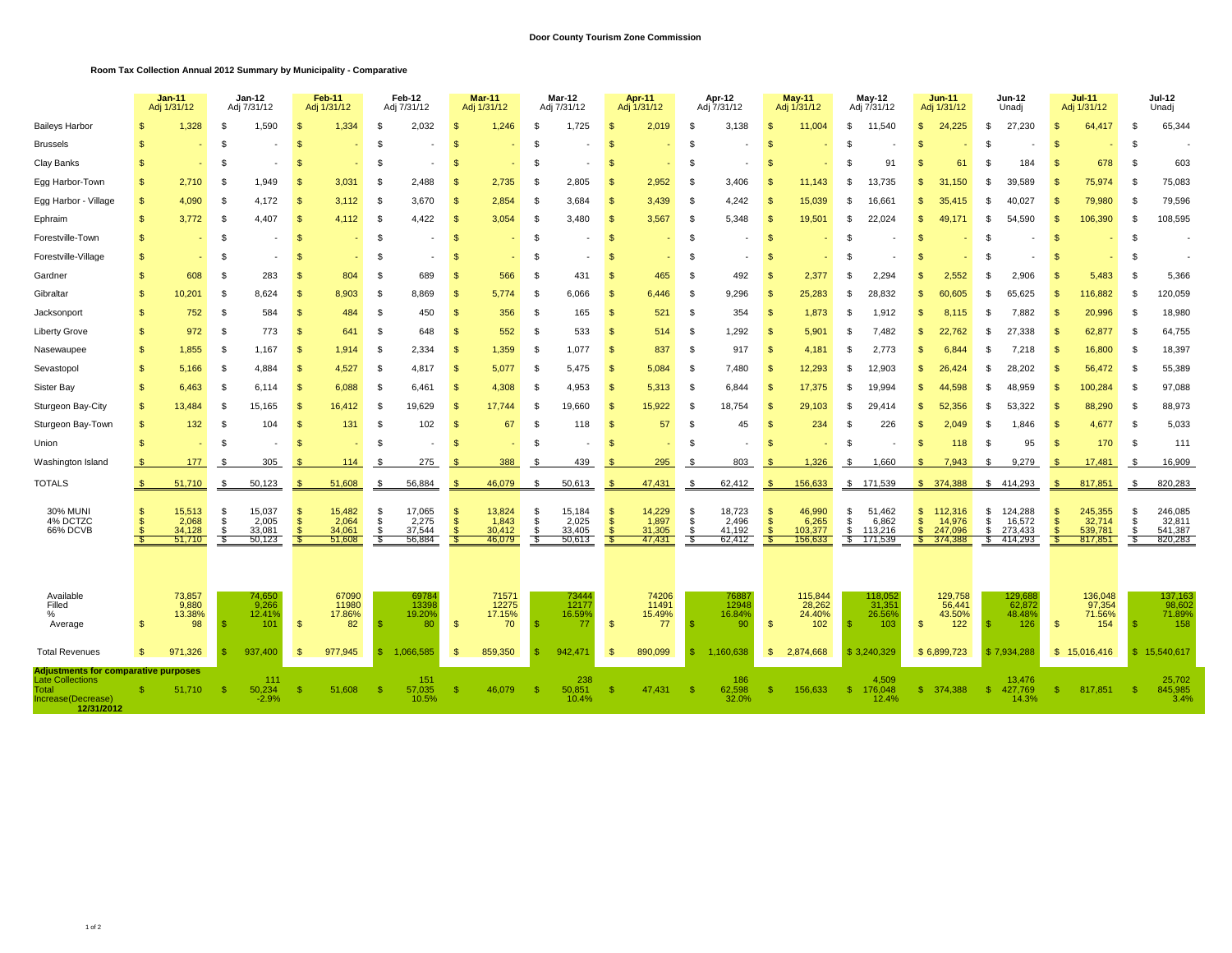## **Room Tax Collection Annual 2012 Summary by Municipality - Comparative**

|                                                                                                              |              | $Jan-11$<br>Adj 1/31/12             |                              | Jan-12<br>Adj 7/31/12               |                                                | <b>Feb-11</b><br>Adj 1/31/12        |                  | Feb-12<br>Adj 7/31/12               |                                       | $Mar-11$<br>Adj 1/31/12             |                    | Mar-12<br>Adj 7/31/12               |                             | Apr-11<br>Adj 1/31/12               |                    | Apr-12<br>Adj 7/31/12               |                | <b>May-11</b><br>Adj 1/31/12          | May-12<br>Adj 7/31/12 |                                       |                                                       | $Jun-11$<br>Adj 1/31/12                 |                      | Jun-12<br>Unadj                         |              | $Jul-11$<br>Adj 1/31/12                 |                | <b>Jul-12</b><br>Unadj                  |  |
|--------------------------------------------------------------------------------------------------------------|--------------|-------------------------------------|------------------------------|-------------------------------------|------------------------------------------------|-------------------------------------|------------------|-------------------------------------|---------------------------------------|-------------------------------------|--------------------|-------------------------------------|-----------------------------|-------------------------------------|--------------------|-------------------------------------|----------------|---------------------------------------|-----------------------|---------------------------------------|-------------------------------------------------------|-----------------------------------------|----------------------|-----------------------------------------|--------------|-----------------------------------------|----------------|-----------------------------------------|--|
| <b>Baileys Harbor</b>                                                                                        |              | 1,328                               |                              | 1,590                               | -\$                                            | 1,334                               |                  | 2,032                               | 9.                                    | 1,246                               | \$                 | 1,725                               |                             | 2,019                               | \$                 | 3,138                               | S              | 11,004                                | \$                    | 11,540                                | \$                                                    | 24.225                                  | \$                   | 27.230                                  | \$.          | 64,417                                  | -S             | 65,344                                  |  |
| <b>Brussels</b>                                                                                              |              |                                     | \$.                          |                                     | \$                                             |                                     |                  |                                     |                                       |                                     | \$                 |                                     |                             |                                     | \$.                |                                     |                |                                       |                       |                                       | \$.                                                   |                                         | £.                   |                                         | \$.          |                                         | \$             |                                         |  |
| Clay Banks                                                                                                   | \$           |                                     | \$.                          |                                     | \$.                                            |                                     |                  |                                     | 9.                                    |                                     | -S                 |                                     | ŗ.                          |                                     | \$                 |                                     | S              |                                       |                       | 91                                    | S.                                                    | 61                                      | £.                   | 184                                     | -SS          | 678                                     | -S             | 603                                     |  |
| Egg Harbor-Town                                                                                              | \$           | 2,710                               | - \$                         | 1.949                               | $\mathfrak{L}$                                 | 3,031                               | - \$             | 2.488                               | $\mathbf{s}$                          | 2,735                               | - \$               | 2,805                               | $\mathbf{s}$                | 2,952                               | \$                 | 3,406                               | \$             | 11.143                                | \$                    | 13.735                                | \$.                                                   | 31.150                                  | \$                   | 39.589                                  | - \$         | 75,974                                  | - \$           | 75,083                                  |  |
| Egg Harbor - Village                                                                                         | $\mathbf{s}$ | 4.090                               | -\$                          | 4.172                               | $\mathfrak{L}$                                 | 3,112                               | -9               | 3.670                               | $\mathbf{s}$                          | 2,854                               | - \$               | 3.684                               | $\mathbf{s}$                | 3,439                               | - \$               | 4.242                               | \$             | 15,039                                | - \$                  | 16.661                                | $\mathbf{s}$                                          | 35.415                                  | \$.                  | 40.027                                  | -\$          | 79,980                                  | \$             | 79,596                                  |  |
| Ephraim                                                                                                      | \$           | 3.772                               | S                            | 4.407                               | <b>S</b>                                       | 4.112                               | S.               | 4.422                               | <sup>\$</sup>                         | 3,054                               | - \$               | 3.480                               | <sup>\$</sup>               | 3,567                               | - \$               | 5.348                               | -S             | 19,501                                | \$                    | 22.024                                | $\mathbf{s}$                                          | 49.171                                  | \$.                  | 54.590                                  | -\$          | 106,390                                 | -S             | 108,595                                 |  |
| Forestville-Town                                                                                             | \$           |                                     | S                            |                                     | -\$                                            |                                     | - 35             |                                     | <sup>\$</sup>                         |                                     | - \$               |                                     | <sup>\$</sup>               |                                     | -\$                |                                     | -S             |                                       | Ŝ.                    |                                       | -S                                                    |                                         | \$                   |                                         | -S           |                                         | \$             |                                         |  |
| Forestville-Village                                                                                          | \$           |                                     | <b>S</b>                     |                                     | <b>S</b>                                       |                                     | \$               |                                     | <sup>\$</sup>                         | ٠                                   | - \$               |                                     | <sup>\$</sup>               |                                     | - \$               |                                     | S              |                                       | \$                    |                                       | \$.                                                   |                                         | -S                   |                                         | $\mathbf{s}$ | ٠                                       | \$             |                                         |  |
| Gardner                                                                                                      | \$           | 608                                 | S                            | 283                                 | \$                                             | 804                                 | -\$              | 689                                 | <sup>\$</sup>                         | 566                                 | - \$               | 431                                 | <sup>\$</sup>               | 465                                 | - \$               | 492                                 | S              | 2,377                                 | \$                    | 2,294                                 | \$                                                    | 2,552                                   | -S                   | 2,906                                   |              | 5,483                                   | \$             | 5,366                                   |  |
| Gibraltar                                                                                                    | \$           | 10,201                              | - \$                         | 8,624                               | $\mathbf{s}$                                   | 8,903                               | - \$             | 8,869                               | <sub>\$</sub>                         | 5.774                               | \$                 | 6,066                               | <sup>\$</sup>               | 6,446                               | - \$               | 9,296                               | S              | 25,283                                | \$                    | 28,832                                | \$                                                    | 60,605                                  | \$.                  | 65,625                                  | -\$          | 116,882                                 | \$             | 120,059                                 |  |
| Jacksonport                                                                                                  | \$           | 752                                 | <b>S</b>                     | 584                                 | <sup>\$</sup>                                  | 484                                 | - \$             | 450                                 | <sup>\$</sup>                         | 356                                 | \$                 | 165                                 | <sup>\$</sup>               | 521                                 | \$                 | 354                                 | -S             | 1,873                                 | - \$                  | 1,912                                 | \$                                                    | 8,115                                   | \$                   | 7,882                                   | -\$          | 20,996                                  | -S             | 18,980                                  |  |
| <b>Liberty Grove</b>                                                                                         | \$           | 972                                 | \$.                          | 773                                 | <sup>\$</sup>                                  | 641                                 | - \$             | 648                                 | <sup>\$</sup>                         | 552                                 | \$                 | 533                                 | <sup>\$</sup>               | 514                                 | \$                 | 1,292                               | -S             | 5,901                                 | -S                    | 7,482                                 | $\mathbf{s}$                                          | 22,762                                  | \$                   | 27<br>.338                              | <b>S</b>     | 62,877                                  | -S             | 64,755                                  |  |
| Nasewaupee                                                                                                   | \$           | 1,855                               | <b>S</b>                     | 1,167                               | <sup>\$</sup>                                  | 1,914                               | - \$             | 2,334                               | <sup>\$</sup>                         | 1,359                               | \$                 | 1,077                               | <sup>\$</sup>               | 837                                 | - \$               | 917                                 | -S             | 4,181                                 | \$                    | 2.773                                 | \$                                                    | 6,844                                   | \$.                  | 7.218                                   | -\$          | 16,800                                  | - \$           | 18,397                                  |  |
| Sevastopol                                                                                                   | \$           | 5,166                               | - \$                         | 4,884                               | <sup>\$</sup>                                  | 4,527                               | -9               | 4,817                               | $\mathbf{s}$                          | 5,077                               | - \$               | 5,475                               | $\mathbf{s}$                | 5,084                               | - \$               | 7,480                               | -S             | 12,293                                | -96                   | 12.903                                | \$                                                    | 26,424                                  | -\$                  | 28,202                                  | -\$          | 56,472                                  | -\$            | 55,389                                  |  |
| Sister Bay                                                                                                   | \$           | 6,463                               | -\$                          | 6,114                               | -\$                                            | 6,088                               | - \$             | 6,461                               | <b>S</b>                              | 4,308                               | - \$               | 4,953                               | <sup>\$</sup>               | 5,313                               | - \$               | 6,844                               | - \$           | 17,375                                | \$                    | 19.994                                | \$                                                    | 44,598                                  | -\$                  | 48,959                                  | -\$          | 100,284                                 | - \$           | 97,088                                  |  |
| Sturgeon Bay-City                                                                                            | \$           | 13,484                              | - \$                         | 15,165                              | -\$                                            | 16,412                              | -S               | 19,629                              | -\$                                   | 17.744                              | - \$               | 19,660                              | $\mathbf{\mathfrak{F}}$     | 15,922                              | -\$                | 18,754                              | -S             | 29,103                                | - \$                  | 29.414                                | \$                                                    | 52,356                                  | -\$                  | 53,322                                  | -\$          | 88,290                                  | £.             | 88,973                                  |  |
| Sturgeon Bay-Town                                                                                            | <b>S</b>     | 132                                 | -9                           | 104                                 | -\$                                            | 131                                 | -9               | 102                                 | <sup>\$</sup>                         | 67                                  | - \$               | 118                                 | $\mathbf{s}$                | 57                                  | - \$               | 45                                  | <b>S</b>       | 234                                   | \$                    | 226                                   | \$                                                    | 2.049                                   | -\$                  | 1.846                                   | -\$          | 4,677                                   | £.             | 5,033                                   |  |
| Union                                                                                                        | \$           |                                     | - \$                         |                                     | \$.                                            |                                     | \$               |                                     | 9.                                    |                                     | - \$               |                                     | 9.                          |                                     | \$                 |                                     | s.             |                                       | - \$                  |                                       | -S                                                    | 118                                     | \$                   | 95                                      | -S           | 170                                     | -S             | 111                                     |  |
| Washington Island                                                                                            |              | 177                                 | -\$                          | 305                                 |                                                | 114                                 | - 3              | 275                                 | <b>S</b>                              | 388                                 | - \$               | 439                                 | -\$                         | 295                                 | - \$               | 803                                 | S              | 1,326                                 | S.                    | 1,660                                 | \$                                                    | 7,943                                   | S.                   | 9,279                                   | - \$         | 17,481                                  | - \$           | 16,909                                  |  |
| <b>TOTALS</b>                                                                                                |              | 51,710                              | - \$                         | 50,123                              |                                                | 51,608                              |                  | 56,884                              | $\mathfrak{g}$                        | 46,079                              | - \$               | 50,613                              |                             | 47,431                              | \$                 | 62,412                              | £.             | 156,633                               | \$                    | 171,539                               |                                                       | \$374,388                               |                      | \$414,293                               |              | 817,851                                 | \$             | 820,283                                 |  |
| <b>30% MUNI</b><br>4% DCTZC<br>66% DCVB                                                                      | \$<br>£.     | 15,513<br>2,068<br>34,128<br>51.710 | \$<br>\$<br><b>S</b><br>- \$ | 15,037<br>2,005<br>33,081<br>50,123 | \$<br>$\mathbf{\$}$<br>$\mathbf{\mathfrak{F}}$ | 15,482<br>2,064<br>34,061<br>51,608 | \$<br>\$<br>- \$ | 17,065<br>2,275<br>37,544<br>56,884 | <sup>\$</sup><br>-\$<br>$\mathcal{S}$ | 13,824<br>1,843<br>30,412<br>46,079 | - \$<br>\$<br>- \$ | 15,184<br>2,025<br>33,405<br>50,613 | <sup>\$</sup><br>-\$<br>-\$ | 14,229<br>1,897<br>31,305<br>47,431 | - \$<br>- \$<br>\$ | 18,723<br>2,496<br>41,192<br>62,412 | S<br>-S<br>-96 | 46,990<br>6,265<br>103,377<br>156,633 | Ŝ.<br>\$<br>\$        | 51,462<br>6,862<br>113,216<br>171,539 | $\mathfrak{s}$<br>$\mathbf{s}$<br>$\mathbf{s}$<br>-96 | 112,316<br>14,976<br>247,096<br>374,388 | \$<br>\$<br>\$<br>S. | 124,288<br>16,572<br>273,433<br>414,293 | -\$<br>-\$   | 245,355<br>32,714<br>539,781<br>817,851 | \$<br>\$<br>£. | 246,085<br>32,811<br>541,387<br>820,283 |  |
| Available<br>Filled<br>$\%$<br>Average                                                                       | S.           | 73,857<br>9,880<br>13.38%<br>98     | -9                           | 74,650<br>9,266<br>12.41%<br>101    | $\mathfrak{s}$                                 | 67090<br>11980<br>17.86%<br>82      |                  | 69784<br>13398<br>19.20%<br>80      | <sup>\$</sup>                         | 71571<br>12275<br>17.15%<br>70      |                    | 73444<br>12177<br>16.59%<br>77      | <sup>\$</sup>               | 74206<br>11491<br>15.49%<br>77      |                    | 76887<br>12948<br>16.84%<br>90      | <b>S</b>       | 115,844<br>28,262<br>24.40%<br>102    | -\$                   | 118,052<br>31,351<br>26.56%<br>103    | $\mathbf{s}$                                          | 129,758<br>56,441<br>43.50%<br>122      | -\$                  | 129,688<br>62,872<br>48.48%<br>126      | -\$          | 136,048<br>97,354<br>71.56%<br>154      |                | 137,163<br>98,602<br>71.89%<br>158      |  |
| <b>Total Revenues</b>                                                                                        | \$           | 971,326                             |                              | 937,400                             | $\mathbf{\$}$                                  | 977,945                             |                  | 1,066,585                           | -\$                                   | 859,350                             |                    | 942,471                             | <sup>\$</sup>               | 890,099                             |                    | 1,160,638                           | $\mathbb{S}$   | 2,874,668                             | \$3,240,329           |                                       |                                                       | \$6,899,723                             |                      | \$7,934,288                             |              | \$15,016,416                            | S.             | 15,540,617                              |  |
| Adjustments for comparative purposes<br><b>Late Collections</b><br>Total<br>Increase(Decrease)<br>12/31/2012 |              | 51,710                              |                              | 111<br>50,234<br>$-2.9%$            | -\$                                            | 51,608                              |                  | 151<br>57,035<br>10.5%              | <sup>9</sup>                          | 46,079                              |                    | 238<br>50,851<br>10.4%              | -S                          | 47,431                              | -\$                | 186<br>62,598<br>32.0%              | S              | 156,633                               | -\$                   | 4,509<br>176,048<br>12.4%             | \$.                                                   | 374,388                                 | -\$                  | 13,476<br>427,769<br>14.3%              | \$.          | 817,851                                 | -\$            | 25,702<br>845,985<br>3.4%               |  |

1 of 2